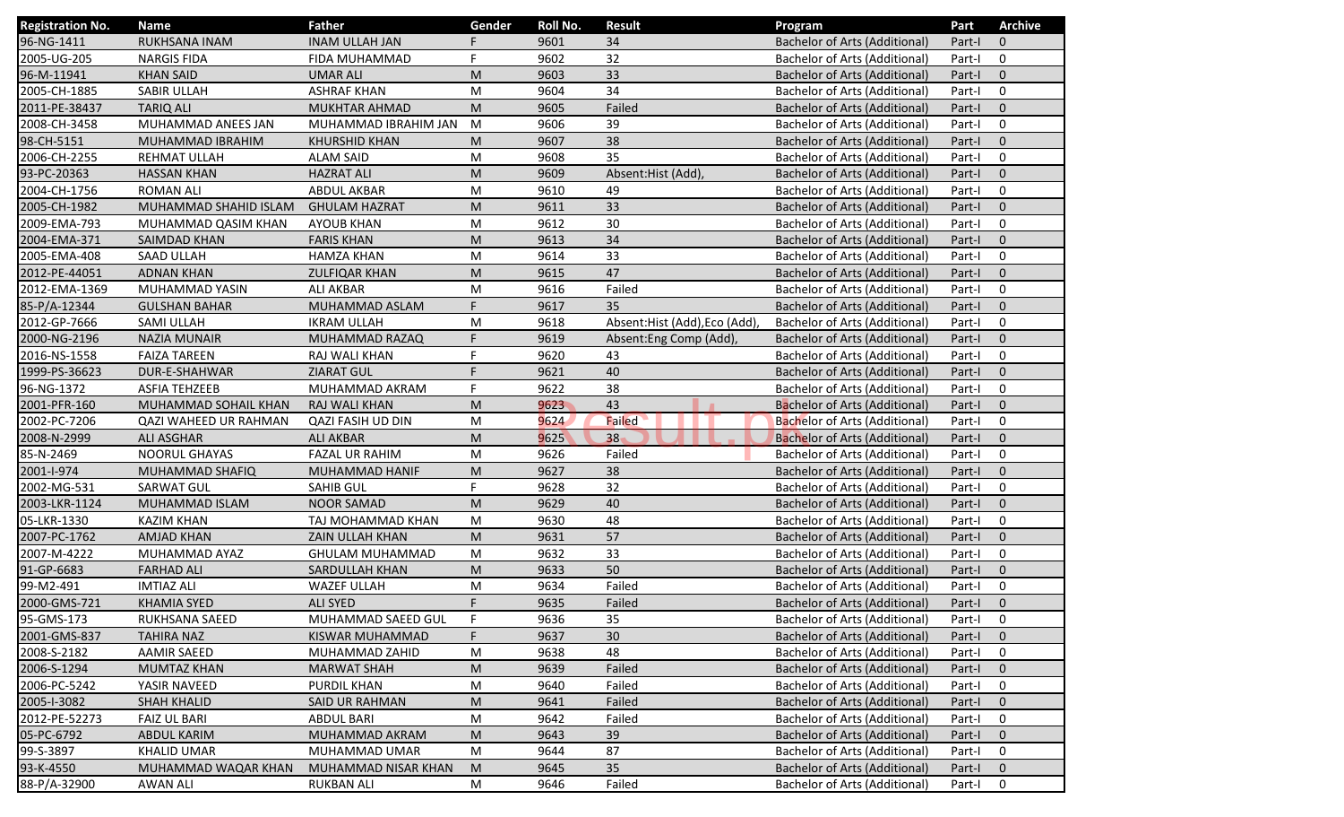| <b>Registration No.</b> | <b>Name</b>           | <b>Father</b>          | Gender | Roll No. | <b>Result</b>                 | Program                              | Part   | <b>Archive</b> |
|-------------------------|-----------------------|------------------------|--------|----------|-------------------------------|--------------------------------------|--------|----------------|
| 96-NG-1411              | RUKHSANA INAM         | <b>INAM ULLAH JAN</b>  |        | 9601     | 34                            | <b>Bachelor of Arts (Additional)</b> | Part-I | $\mathbf 0$    |
| 2005-UG-205             | <b>NARGIS FIDA</b>    | FIDA MUHAMMAD          | F.     | 9602     | 32                            | <b>Bachelor of Arts (Additional)</b> | Part-I | 0              |
| 96-M-11941              | <b>KHAN SAID</b>      | <b>UMAR ALI</b>        | M      | 9603     | 33                            | Bachelor of Arts (Additional)        | Part-I | $\mathbf 0$    |
| 2005-CH-1885            | SABIR ULLAH           | <b>ASHRAF KHAN</b>     | M      | 9604     | 34                            | <b>Bachelor of Arts (Additional)</b> | Part-I | $\mathbf 0$    |
| 2011-PE-38437           | <b>TARIQ ALI</b>      | <b>MUKHTAR AHMAD</b>   | M      | 9605     | Failed                        | <b>Bachelor of Arts (Additional)</b> | Part-I | $\mathbf 0$    |
| 2008-CH-3458            | MUHAMMAD ANEES JAN    | MUHAMMAD IBRAHIM JAN   | M      | 9606     | 39                            | <b>Bachelor of Arts (Additional)</b> | Part-I | 0              |
| 98-CH-5151              | MUHAMMAD IBRAHIM      | <b>KHURSHID KHAN</b>   | M      | 9607     | 38                            | <b>Bachelor of Arts (Additional)</b> | Part-I | $\mathbf 0$    |
| 2006-CH-2255            | REHMAT ULLAH          | <b>ALAM SAID</b>       | M      | 9608     | 35                            | <b>Bachelor of Arts (Additional)</b> | Part-I | 0              |
| 93-PC-20363             | <b>HASSAN KHAN</b>    | <b>HAZRAT ALI</b>      | M      | 9609     | Absent: Hist (Add),           | Bachelor of Arts (Additional)        | Part-I | $\mathbf 0$    |
| 2004-CH-1756            | <b>ROMAN ALI</b>      | <b>ABDUL AKBAR</b>     | M      | 9610     | 49                            | Bachelor of Arts (Additional)        | Part-I | 0              |
| 2005-CH-1982            | MUHAMMAD SHAHID ISLAM | <b>GHULAM HAZRAT</b>   | M      | 9611     | 33                            | <b>Bachelor of Arts (Additional)</b> | Part-I | $\mathbf 0$    |
| 2009-EMA-793            | MUHAMMAD QASIM KHAN   | <b>AYOUB KHAN</b>      | M      | 9612     | 30                            | <b>Bachelor of Arts (Additional)</b> | Part-I | 0              |
| 2004-EMA-371            | <b>SAIMDAD KHAN</b>   | <b>FARIS KHAN</b>      | M      | 9613     | 34                            | <b>Bachelor of Arts (Additional)</b> | Part-I | $\mathbf{0}$   |
| 2005-EMA-408            | <b>SAAD ULLAH</b>     | <b>HAMZA KHAN</b>      | M      | 9614     | 33                            | <b>Bachelor of Arts (Additional)</b> | Part-I | 0              |
| 2012-PE-44051           | <b>ADNAN KHAN</b>     | <b>ZULFIQAR KHAN</b>   | M      | 9615     | 47                            | <b>Bachelor of Arts (Additional)</b> | Part-I | $\mathbf 0$    |
| 2012-EMA-1369           | MUHAMMAD YASIN        | <b>ALI AKBAR</b>       | M      | 9616     | Failed                        | <b>Bachelor of Arts (Additional)</b> | Part-I | $\mathbf 0$    |
| 85-P/A-12344            | <b>GULSHAN BAHAR</b>  | MUHAMMAD ASLAM         | F      | 9617     | 35                            | Bachelor of Arts (Additional)        | Part-I | $\mathbf{0}$   |
| 2012-GP-7666            | SAMI ULLAH            | <b>IKRAM ULLAH</b>     | M      | 9618     | Absent: Hist (Add), Eco (Add) | Bachelor of Arts (Additional)        | Part-I | $\mathbf 0$    |
| 2000-NG-2196            | <b>NAZIA MUNAIR</b>   | MUHAMMAD RAZAQ         | F      | 9619     | Absent: Eng Comp (Add),       | <b>Bachelor of Arts (Additional)</b> | Part-I | $\mathbf 0$    |
| 2016-NS-1558            | <b>FAIZA TAREEN</b>   | RAJ WALI KHAN          | F.     | 9620     | 43                            | <b>Bachelor of Arts (Additional)</b> | Part-I | 0              |
| 1999-PS-36623           | DUR-E-SHAHWAR         | <b>ZIARAT GUL</b>      | F.     | 9621     | 40                            | <b>Bachelor of Arts (Additional)</b> | Part-I | $\mathbf{0}$   |
| 96-NG-1372              | <b>ASFIA TEHZEEB</b>  | MUHAMMAD AKRAM         | F      | 9622     | 38                            | <b>Bachelor of Arts (Additional)</b> | Part-I | 0              |
| 2001-PFR-160            | MUHAMMAD SOHAIL KHAN  | RAJ WALI KHAN          | M      | 9623     | 43                            | <b>Bachelor of Arts (Additional)</b> | Part-I | $\mathbf 0$    |
| 2002-PC-7206            | QAZI WAHEED UR RAHMAN | QAZI FASIH UD DIN      | M      | 9624     | Failed                        | <b>Bachelor of Arts (Additional)</b> | Part-I | $\mathbf 0$    |
| 2008-N-2999             | <b>ALI ASGHAR</b>     | <b>ALI AKBAR</b>       | M      | 9625     | 38                            | <b>Bachelor of Arts (Additional)</b> | Part-I | $\mathbf 0$    |
| 85-N-2469               | <b>NOORUL GHAYAS</b>  | <b>FAZAL UR RAHIM</b>  | M      | 9626     | Failed                        | <b>Bachelor of Arts (Additional)</b> | Part-I | 0              |
| 2001-I-974              | MUHAMMAD SHAFIQ       | MUHAMMAD HANIF         | M      | 9627     | 38                            | <b>Bachelor of Arts (Additional)</b> | Part-I | $\mathbf 0$    |
| 2002-MG-531             | <b>SARWAT GUL</b>     | <b>SAHIB GUL</b>       | F.     | 9628     | 32                            | <b>Bachelor of Arts (Additional)</b> | Part-I | $\mathbf 0$    |
| 2003-LKR-1124           | MUHAMMAD ISLAM        | <b>NOOR SAMAD</b>      | M      | 9629     | 40                            | <b>Bachelor of Arts (Additional)</b> | Part-I | $\mathbf{0}$   |
| 05-LKR-1330             | <b>KAZIM KHAN</b>     | TAJ MOHAMMAD KHAN      | M      | 9630     | 48                            | <b>Bachelor of Arts (Additional)</b> | Part-I | 0              |
| 2007-PC-1762            | <b>AMJAD KHAN</b>     | ZAIN ULLAH KHAN        | M      | 9631     | 57                            | <b>Bachelor of Arts (Additional)</b> | Part-I | $\mathbf 0$    |
| 2007-M-4222             | MUHAMMAD AYAZ         | <b>GHULAM MUHAMMAD</b> | M      | 9632     | 33                            | <b>Bachelor of Arts (Additional)</b> | Part-I | 0              |
| 91-GP-6683              | <b>FARHAD ALI</b>     | SARDULLAH KHAN         | M      | 9633     | 50                            | <b>Bachelor of Arts (Additional)</b> | Part-I | $\mathbf 0$    |
| 99-M2-491               | <b>IMTIAZ ALI</b>     | <b>WAZEF ULLAH</b>     | M      | 9634     | Failed                        | Bachelor of Arts (Additional)        | Part-I | 0              |
| 2000-GMS-721            | <b>KHAMIA SYED</b>    | <b>ALI SYED</b>        | F.     | 9635     | Failed                        | Bachelor of Arts (Additional)        | Part-I | $\mathbf 0$    |
| 95-GMS-173              | RUKHSANA SAEED        | MUHAMMAD SAEED GUL     | F      | 9636     | 35                            | Bachelor of Arts (Additional)        | Part-I | 0              |
| 2001-GMS-837            | <b>TAHIRA NAZ</b>     | KISWAR MUHAMMAD        | F      | 9637     | 30                            | <b>Bachelor of Arts (Additional)</b> | Part-I | $\mathbf{0}$   |
| 2008-S-2182             | <b>AAMIR SAEED</b>    | MUHAMMAD ZAHID         | M      | 9638     | 48                            | <b>Bachelor of Arts (Additional)</b> | Part-I | 0              |
| 2006-S-1294             | <b>MUMTAZ KHAN</b>    | <b>MARWAT SHAH</b>     | M      | 9639     | Failed                        | <b>Bachelor of Arts (Additional)</b> | Part-I | $\mathbf 0$    |
| 2006-PC-5242            | YASIR NAVEED          | <b>PURDIL KHAN</b>     | M      | 9640     | Failed                        | <b>Bachelor of Arts (Additional)</b> | Part-I | 0              |
| 2005-1-3082             | <b>SHAH KHALID</b>    | SAID UR RAHMAN         | M      | 9641     | Failed                        | <b>Bachelor of Arts (Additional)</b> | Part-I | $\mathbf 0$    |
| 2012-PE-52273           | <b>FAIZ UL BARI</b>   | <b>ABDUL BARI</b>      | M      | 9642     | Failed                        | <b>Bachelor of Arts (Additional)</b> | Part-I | 0              |
| 05-PC-6792              | <b>ABDUL KARIM</b>    | MUHAMMAD AKRAM         | M      | 9643     | 39                            | Bachelor of Arts (Additional)        | Part-I | $\mathbf 0$    |
| 99-S-3897               | <b>KHALID UMAR</b>    | MUHAMMAD UMAR          | M      | 9644     | 87                            | Bachelor of Arts (Additional)        | Part-I | 0              |
| 93-K-4550               | MUHAMMAD WAQAR KHAN   | MUHAMMAD NISAR KHAN    | M      | 9645     | 35                            | <b>Bachelor of Arts (Additional)</b> | Part-I | $\mathbf 0$    |
| 88-P/A-32900            | <b>AWAN ALI</b>       | <b>RUKBAN ALI</b>      | M      | 9646     | Failed                        | <b>Bachelor of Arts (Additional)</b> | Part-I | 0              |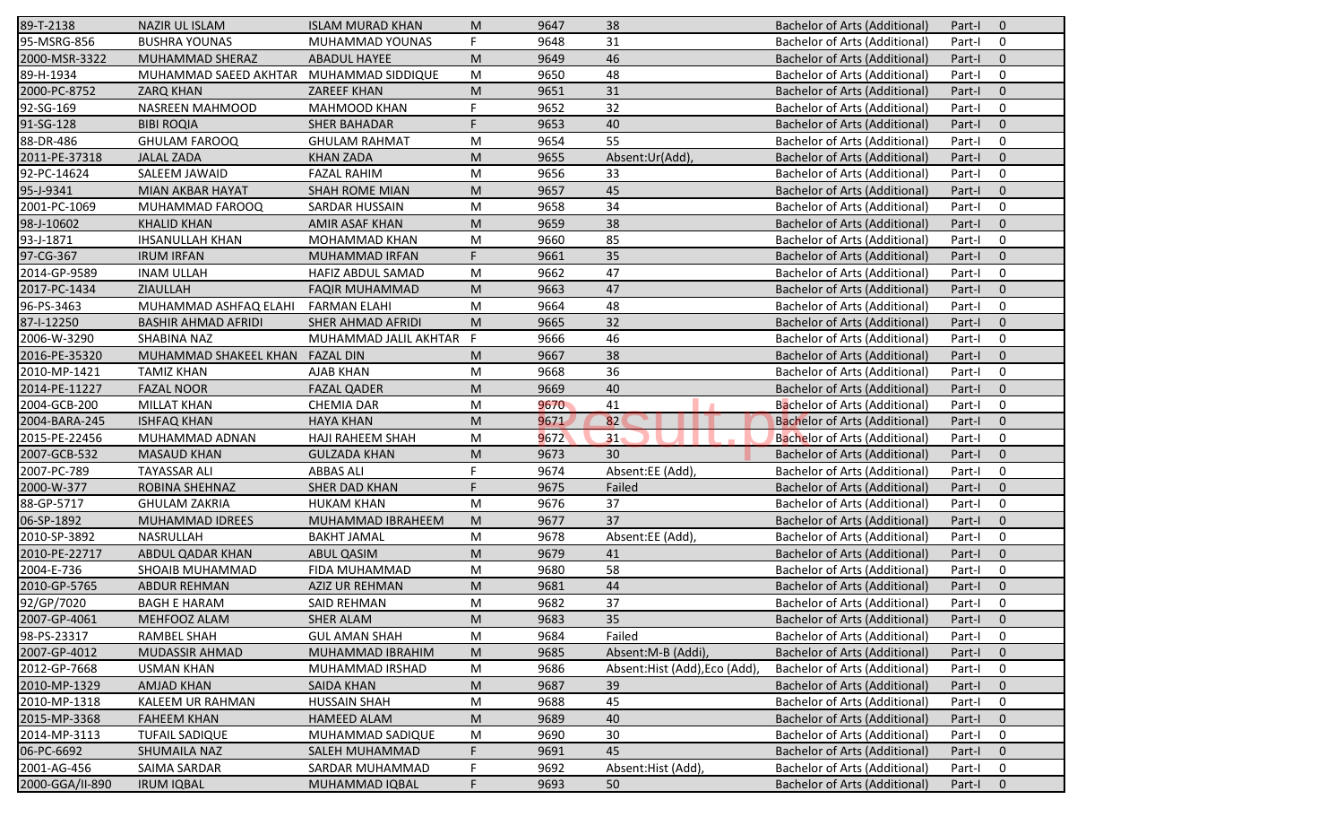| 89-T-2138       | <b>NAZIR UL ISLAM</b>                   | <b>ISLAM MURAD KHAN</b> | M                                                                                                          | 9647 | 38                            | Bachelor of Arts (Additional)        | Part-I | $\mathbf 0$  |
|-----------------|-----------------------------------------|-------------------------|------------------------------------------------------------------------------------------------------------|------|-------------------------------|--------------------------------------|--------|--------------|
| 95-MSRG-856     | <b>BUSHRA YOUNAS</b>                    | MUHAMMAD YOUNAS         | F.                                                                                                         | 9648 | 31                            | <b>Bachelor of Arts (Additional)</b> | Part-I | 0            |
| 2000-MSR-3322   | MUHAMMAD SHERAZ                         | ABADUL HAYEE            | M                                                                                                          | 9649 | 46                            | <b>Bachelor of Arts (Additional)</b> | Part-I | $\mathbf 0$  |
| 89-H-1934       | MUHAMMAD SAEED AKHTAR MUHAMMAD SIDDIQUE |                         | M                                                                                                          | 9650 | 48                            | <b>Bachelor of Arts (Additional)</b> | Part-I | 0            |
| 2000-PC-8752    | <b>ZARQ KHAN</b>                        | <b>ZAREEF KHAN</b>      | ${\sf M}$                                                                                                  | 9651 | 31                            | <b>Bachelor of Arts (Additional)</b> | Part-I | $\mathbf 0$  |
| 92-SG-169       | NASREEN MAHMOOD                         | MAHMOOD KHAN            | F                                                                                                          | 9652 | 32                            | <b>Bachelor of Arts (Additional)</b> | Part-I | $\mathbf 0$  |
| 91-SG-128       | <b>BIBI ROQIA</b>                       | <b>SHER BAHADAR</b>     | F                                                                                                          | 9653 | 40                            | <b>Bachelor of Arts (Additional)</b> | Part-I | $\mathbf 0$  |
| 88-DR-486       | <b>GHULAM FAROOQ</b>                    | <b>GHULAM RAHMAT</b>    | ${\sf M}$                                                                                                  | 9654 | 55                            | <b>Bachelor of Arts (Additional)</b> | Part-I | $\mathbf 0$  |
| 2011-PE-37318   | <b>JALAL ZADA</b>                       | <b>KHAN ZADA</b>        | M                                                                                                          | 9655 | Absent:Ur(Add)                | Bachelor of Arts (Additional)        | Part-I | $\mathbf 0$  |
| 92-PC-14624     | SALEEM JAWAID                           | <b>FAZAL RAHIM</b>      | ${\sf M}$                                                                                                  | 9656 | 33                            | Bachelor of Arts (Additional)        | Part-I | $\mathbf 0$  |
| 95-J-9341       | MIAN AKBAR HAYAT                        | <b>SHAH ROME MIAN</b>   | M                                                                                                          | 9657 | 45                            | Bachelor of Arts (Additional)        | Part-I | $\mathbf 0$  |
| 2001-PC-1069    | MUHAMMAD FAROOQ                         | SARDAR HUSSAIN          | M                                                                                                          | 9658 | 34                            | <b>Bachelor of Arts (Additional)</b> | Part-I | $\mathbf 0$  |
| 98-J-10602      | <b>KHALID KHAN</b>                      | AMIR ASAF KHAN          | M                                                                                                          | 9659 | 38                            | <b>Bachelor of Arts (Additional)</b> | Part-I | $\mathbf 0$  |
| 93-J-1871       | <b>IHSANULLAH KHAN</b>                  | MOHAMMAD KHAN           | ${\sf M}$                                                                                                  | 9660 | 85                            | <b>Bachelor of Arts (Additional)</b> | Part-I | $\mathbf 0$  |
| 97-CG-367       | <b>IRUM IRFAN</b>                       | MUHAMMAD IRFAN          | F                                                                                                          | 9661 | 35                            | <b>Bachelor of Arts (Additional)</b> | Part-I | $\mathbf 0$  |
| 2014-GP-9589    | <b>INAM ULLAH</b>                       | HAFIZ ABDUL SAMAD       | ${\sf M}$                                                                                                  | 9662 | 47                            | <b>Bachelor of Arts (Additional)</b> | Part-I | $\mathbf 0$  |
| 2017-PC-1434    | ZIAULLAH                                | <b>FAQIR MUHAMMAD</b>   | M                                                                                                          | 9663 | 47                            | <b>Bachelor of Arts (Additional)</b> | Part-I | $\mathbf 0$  |
| 96-PS-3463      | MUHAMMAD ASHFAQ ELAHI                   | <b>FARMAN ELAHI</b>     | M                                                                                                          | 9664 | 48                            | Bachelor of Arts (Additional)        | Part-I | $\mathbf 0$  |
| 87-1-12250      | <b>BASHIR AHMAD AFRIDI</b>              | SHER AHMAD AFRIDI       | M                                                                                                          | 9665 | 32                            | <b>Bachelor of Arts (Additional)</b> | Part-I | $\mathbf 0$  |
| 2006-W-3290     | SHABINA NAZ                             | MUHAMMAD JALIL AKHTAR F |                                                                                                            | 9666 | 46                            | Bachelor of Arts (Additional)        | Part-I | $\mathbf 0$  |
| 2016-PE-35320   | MUHAMMAD SHAKEEL KHAN                   | <b>FAZAL DIN</b>        | M                                                                                                          | 9667 | 38                            | <b>Bachelor of Arts (Additional)</b> | Part-I | $\mathbf 0$  |
| 2010-MP-1421    | <b>TAMIZ KHAN</b>                       | AJAB KHAN               | ${\sf M}$                                                                                                  | 9668 | 36                            | <b>Bachelor of Arts (Additional)</b> | Part-I | 0            |
| 2014-PE-11227   | <b>FAZAL NOOR</b>                       | <b>FAZAL QADER</b>      | ${\sf M}$                                                                                                  | 9669 | 40                            | <b>Bachelor of Arts (Additional)</b> | Part-I | $\mathbf 0$  |
| 2004-GCB-200    | <b>MILLAT KHAN</b>                      | <b>CHEMIA DAR</b>       | ${\sf M}$                                                                                                  | 9670 | 41<br>$\blacksquare$          | <b>Bachelor of Arts (Additional)</b> | Part-I | $\mathbf 0$  |
| 2004-BARA-245   | <b>ISHFAQ KHAN</b>                      | <b>HAYA KHAN</b>        | M                                                                                                          | 9671 | 82                            | <b>Bachelor of Arts (Additional)</b> | Part-I | $\mathbf 0$  |
| 2015-PE-22456   | MUHAMMAD ADNAN                          | <b>HAJI RAHEEM SHAH</b> | M                                                                                                          | 9672 | 31                            | Bachelor of Arts (Additional)        | Part-I | $\mathbf 0$  |
| 2007-GCB-532    | <b>MASAUD KHAN</b>                      | <b>GULZADA KHAN</b>     | M                                                                                                          | 9673 | 30 <sup>°</sup>               | <b>Bachelor of Arts (Additional)</b> | Part-I | $\mathbf 0$  |
| 2007-PC-789     | <b>TAYASSAR ALI</b>                     | <b>ABBAS ALI</b>        | F.                                                                                                         | 9674 | Absent:EE (Add)               | Bachelor of Arts (Additional)        | Part-I | 0            |
| 2000-W-377      | ROBINA SHEHNAZ                          | SHER DAD KHAN           | F.                                                                                                         | 9675 | Failed                        | <b>Bachelor of Arts (Additional)</b> | Part-I | $\mathbf{0}$ |
| 88-GP-5717      | <b>GHULAM ZAKRIA</b>                    | <b>HUKAM KHAN</b>       | ${\sf M}$                                                                                                  | 9676 | 37                            | <b>Bachelor of Arts (Additional)</b> | Part-I | 0            |
| 06-SP-1892      | MUHAMMAD IDREES                         | MUHAMMAD IBRAHEEM       | ${\sf M}$                                                                                                  | 9677 | 37                            | <b>Bachelor of Arts (Additional)</b> | Part-I | $\mathbf 0$  |
| 2010-SP-3892    | NASRULLAH                               | <b>BAKHT JAMAL</b>      | $\mathsf{M}% _{T}=\mathsf{M}_{T}\!\left( a,b\right) ,\ \mathsf{M}_{T}=\mathsf{M}_{T}\!\left( a,b\right) ,$ | 9678 | Absent:EE (Add)               | <b>Bachelor of Arts (Additional)</b> | Part-I | $\mathbf 0$  |
| 2010-PE-22717   | ABDUL QADAR KHAN                        | <b>ABUL QASIM</b>       | M                                                                                                          | 9679 | 41                            | <b>Bachelor of Arts (Additional)</b> | Part-I | $\mathbf 0$  |
| 2004-E-736      | SHOAIB MUHAMMAD                         | FIDA MUHAMMAD           | M                                                                                                          | 9680 | 58                            | Bachelor of Arts (Additional)        | Part-I | $\mathbf 0$  |
| 2010-GP-5765    | ABDUR REHMAN                            | AZIZ UR REHMAN          | M                                                                                                          | 9681 | 44                            | <b>Bachelor of Arts (Additional)</b> | Part-I | $\mathbf 0$  |
| 92/GP/7020      | <b>BAGH E HARAM</b>                     | SAID REHMAN             | M                                                                                                          | 9682 | 37                            | <b>Bachelor of Arts (Additional)</b> | Part-I | $\mathbf 0$  |
| 2007-GP-4061    | MEHFOOZ ALAM                            | <b>SHER ALAM</b>        | M                                                                                                          | 9683 | 35                            | <b>Bachelor of Arts (Additional)</b> | Part-I | $\mathbf 0$  |
| 98-PS-23317     | RAMBEL SHAH                             | <b>GUL AMAN SHAH</b>    | M                                                                                                          | 9684 | Failed                        | <b>Bachelor of Arts (Additional)</b> | Part-I | 0            |
| 2007-GP-4012    | MUDASSIR AHMAD                          | MUHAMMAD IBRAHIM        | M                                                                                                          | 9685 | Absent:M-B (Addi),            | <b>Bachelor of Arts (Additional)</b> | Part-I | $\mathbf 0$  |
| 2012-GP-7668    | <b>USMAN KHAN</b>                       | MUHAMMAD IRSHAD         | M                                                                                                          | 9686 | Absent: Hist (Add), Eco (Add) | <b>Bachelor of Arts (Additional)</b> | Part-I | 0            |
| 2010-MP-1329    | <b>AMJAD KHAN</b>                       | <b>SAIDA KHAN</b>       | M                                                                                                          | 9687 | 39                            | <b>Bachelor of Arts (Additional)</b> | Part-I | $\mathbf 0$  |
| 2010-MP-1318    | KALEEM UR RAHMAN                        | <b>HUSSAIN SHAH</b>     | M                                                                                                          | 9688 | 45                            | <b>Bachelor of Arts (Additional)</b> | Part-I | 0            |
| 2015-MP-3368    | <b>FAHEEM KHAN</b>                      | <b>HAMEED ALAM</b>      | M                                                                                                          | 9689 | 40                            | Bachelor of Arts (Additional)        | Part-I | $\mathbf 0$  |
| 2014-MP-3113    | <b>TUFAIL SADIQUE</b>                   | MUHAMMAD SADIQUE        | M                                                                                                          | 9690 | 30                            | Bachelor of Arts (Additional)        | Part-I | 0            |
| 06-PC-6692      | SHUMAILA NAZ                            | SALEH MUHAMMAD          | F.                                                                                                         | 9691 | 45                            | <b>Bachelor of Arts (Additional)</b> | Part-I | $\mathbf 0$  |
| 2001-AG-456     | SAIMA SARDAR                            | SARDAR MUHAMMAD         | F                                                                                                          | 9692 | Absent:Hist (Add),            | <b>Bachelor of Arts (Additional)</b> | Part-I | 0            |
| 2000-GGA/II-890 | <b>IRUM IQBAL</b>                       | MUHAMMAD IQBAL          | F.                                                                                                         | 9693 | 50                            | <b>Bachelor of Arts (Additional)</b> | Part-I | $\mathbf 0$  |